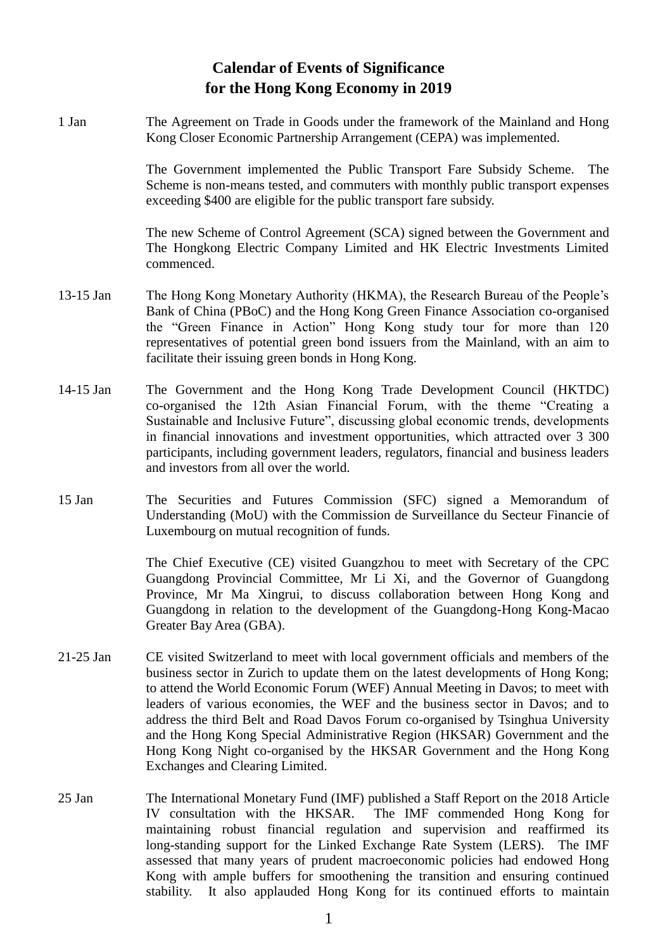## **Calendar of Events of Significance for the Hong Kong Economy in 2019**

1 Jan The Agreement on Trade in Goods under the framework of the Mainland and Hong Kong Closer Economic Partnership Arrangement (CEPA) was implemented.

> The Government implemented the Public Transport Fare Subsidy Scheme. The Scheme is non-means tested, and commuters with monthly public transport expenses exceeding \$400 are eligible for the public transport fare subsidy.

> The new Scheme of Control Agreement (SCA) signed between the Government and The Hongkong Electric Company Limited and HK Electric Investments Limited commenced.

- 13-15 Jan The Hong Kong Monetary Authority (HKMA), the Research Bureau of the People's Bank of China (PBoC) and the Hong Kong Green Finance Association co-organised the "Green Finance in Action" Hong Kong study tour for more than 120 representatives of potential green bond issuers from the Mainland, with an aim to facilitate their issuing green bonds in Hong Kong.
- 14-15 Jan The Government and the Hong Kong Trade Development Council (HKTDC) co-organised the 12th Asian Financial Forum, with the theme "Creating a Sustainable and Inclusive Future", discussing global economic trends, developments in financial innovations and investment opportunities, which attracted over 3 300 participants, including government leaders, regulators, financial and business leaders and investors from all over the world.
- 15 Jan The Securities and Futures Commission (SFC) signed a Memorandum of Understanding (MoU) with the Commission de Surveillance du Secteur Financie of Luxembourg on mutual recognition of funds.

The Chief Executive (CE) visited Guangzhou to meet with Secretary of the CPC Guangdong Provincial Committee, Mr Li Xi, and the Governor of Guangdong Province, Mr Ma Xingrui, to discuss collaboration between Hong Kong and Guangdong in relation to the development of the Guangdong-Hong Kong-Macao Greater Bay Area (GBA).

- 21-25 Jan CE visited Switzerland to meet with local government officials and members of the business sector in Zurich to update them on the latest developments of Hong Kong; to attend the World Economic Forum (WEF) Annual Meeting in Davos; to meet with leaders of various economies, the WEF and the business sector in Davos; and to address the third Belt and Road Davos Forum co-organised by Tsinghua University and the Hong Kong Special Administrative Region (HKSAR) Government and the Hong Kong Night co-organised by the HKSAR Government and the Hong Kong Exchanges and Clearing Limited.
- 25 Jan The International Monetary Fund (IMF) published a Staff Report on the 2018 Article IV consultation with the HKSAR. The IMF commended Hong Kong for maintaining robust financial regulation and supervision and reaffirmed its long-standing support for the Linked Exchange Rate System (LERS). The IMF assessed that many years of prudent macroeconomic policies had endowed Hong Kong with ample buffers for smoothening the transition and ensuring continued stability. It also applauded Hong Kong for its continued efforts to maintain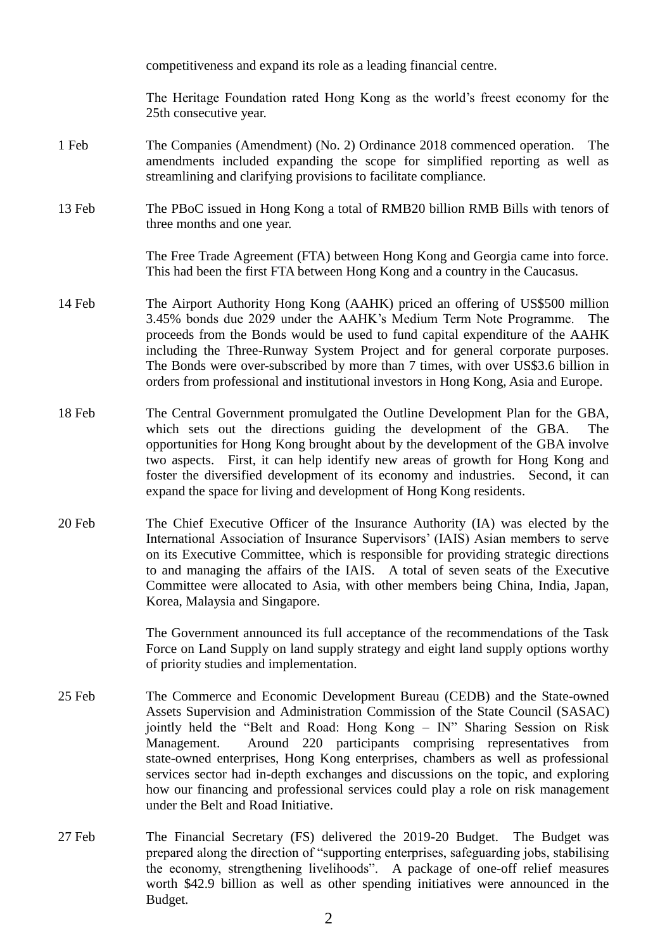competitiveness and expand its role as a leading financial centre.

The Heritage Foundation rated Hong Kong as the world's freest economy for the 25th consecutive year.

- 1 Feb The Companies (Amendment) (No. 2) Ordinance 2018 commenced operation. The amendments included expanding the scope for simplified reporting as well as streamlining and clarifying provisions to facilitate compliance.
- 13 Feb The PBoC issued in Hong Kong a total of RMB20 billion RMB Bills with tenors of three months and one year.

The Free Trade Agreement (FTA) between Hong Kong and Georgia came into force. This had been the first FTA between Hong Kong and a country in the Caucasus.

- 14 Feb The Airport Authority Hong Kong (AAHK) priced an offering of US\$500 million 3.45% bonds due 2029 under the AAHK's Medium Term Note Programme. The proceeds from the Bonds would be used to fund capital expenditure of the AAHK including the Three-Runway System Project and for general corporate purposes. The Bonds were over-subscribed by more than 7 times, with over US\$3.6 billion in orders from professional and institutional investors in Hong Kong, Asia and Europe.
- 18 Feb The Central Government promulgated the Outline Development Plan for the GBA, which sets out the directions guiding the development of the GBA. The opportunities for Hong Kong brought about by the development of the GBA involve two aspects. First, it can help identify new areas of growth for Hong Kong and foster the diversified development of its economy and industries. Second, it can expand the space for living and development of Hong Kong residents.
- 20 Feb The Chief Executive Officer of the Insurance Authority (IA) was elected by the International Association of Insurance Supervisors' (IAIS) Asian members to serve on its Executive Committee, which is responsible for providing strategic directions to and managing the affairs of the IAIS. A total of seven seats of the Executive Committee were allocated to Asia, with other members being China, India, Japan, Korea, Malaysia and Singapore.

The Government announced its full acceptance of the recommendations of the Task Force on Land Supply on land supply strategy and eight land supply options worthy of priority studies and implementation.

- 25 Feb The Commerce and Economic Development Bureau (CEDB) and the State-owned Assets Supervision and Administration Commission of the State Council (SASAC) jointly held the "Belt and Road: Hong Kong – IN" Sharing Session on Risk Management. Around 220 participants comprising representatives from state-owned enterprises, Hong Kong enterprises, chambers as well as professional services sector had in-depth exchanges and discussions on the topic, and exploring how our financing and professional services could play a role on risk management under the Belt and Road Initiative.
- 27 Feb The Financial Secretary (FS) delivered the 2019-20 Budget. The Budget was prepared along the direction of "supporting enterprises, safeguarding jobs, stabilising the economy, strengthening livelihoods". A package of one-off relief measures worth \$42.9 billion as well as other spending initiatives were announced in the Budget.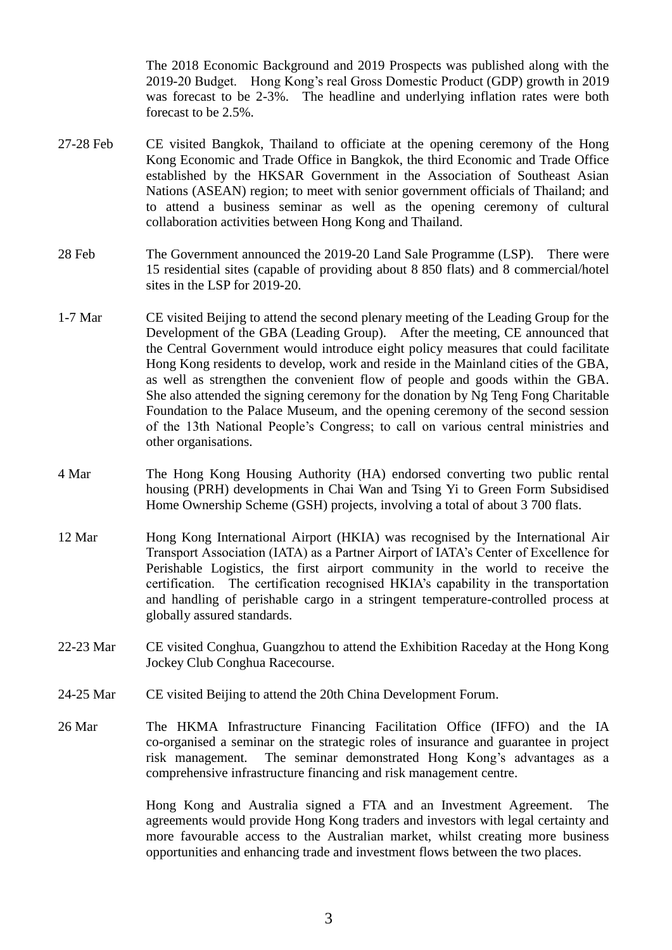The 2018 Economic Background and 2019 Prospects was published along with the 2019-20 Budget. Hong Kong's real Gross Domestic Product (GDP) growth in 2019 was forecast to be 2-3%. The headline and underlying inflation rates were both forecast to be 2.5%.

- 27-28 Feb CE visited Bangkok, Thailand to officiate at the opening ceremony of the Hong Kong Economic and Trade Office in Bangkok, the third Economic and Trade Office established by the HKSAR Government in the Association of Southeast Asian Nations (ASEAN) region; to meet with senior government officials of Thailand; and to attend a business seminar as well as the opening ceremony of cultural collaboration activities between Hong Kong and Thailand.
- 28 Feb The Government announced the 2019-20 Land Sale Programme (LSP). There were 15 residential sites (capable of providing about 8 850 flats) and 8 commercial/hotel sites in the LSP for 2019-20.
- 1-7 Mar CE visited Beijing to attend the second plenary meeting of the Leading Group for the Development of the GBA (Leading Group). After the meeting, CE announced that the Central Government would introduce eight policy measures that could facilitate Hong Kong residents to develop, work and reside in the Mainland cities of the GBA, as well as strengthen the convenient flow of people and goods within the GBA. She also attended the signing ceremony for the donation by Ng Teng Fong Charitable Foundation to the Palace Museum, and the opening ceremony of the second session of the 13th National People's Congress; to call on various central ministries and other organisations.
- 4 Mar The Hong Kong Housing Authority (HA) endorsed converting two public rental housing (PRH) developments in Chai Wan and Tsing Yi to Green Form Subsidised Home Ownership Scheme (GSH) projects, involving a total of about 3 700 flats.
- 12 Mar Hong Kong International Airport (HKIA) was recognised by the International Air Transport Association (IATA) as a Partner Airport of IATA's Center of Excellence for Perishable Logistics, the first airport community in the world to receive the certification. The certification recognised HKIA's capability in the transportation and handling of perishable cargo in a stringent temperature-controlled process at globally assured standards.
- 22-23 Mar CE visited Conghua, Guangzhou to attend the Exhibition Raceday at the Hong Kong Jockey Club Conghua Racecourse.
- 24-25 Mar CE visited Beijing to attend the 20th China Development Forum.
- 26 Mar The HKMA Infrastructure Financing Facilitation Office (IFFO) and the IA co-organised a seminar on the strategic roles of insurance and guarantee in project risk management. The seminar demonstrated Hong Kong's advantages as a comprehensive infrastructure financing and risk management centre.

Hong Kong and Australia signed a FTA and an Investment Agreement. The agreements would provide Hong Kong traders and investors with legal certainty and more favourable access to the Australian market, whilst creating more business opportunities and enhancing trade and investment flows between the two places.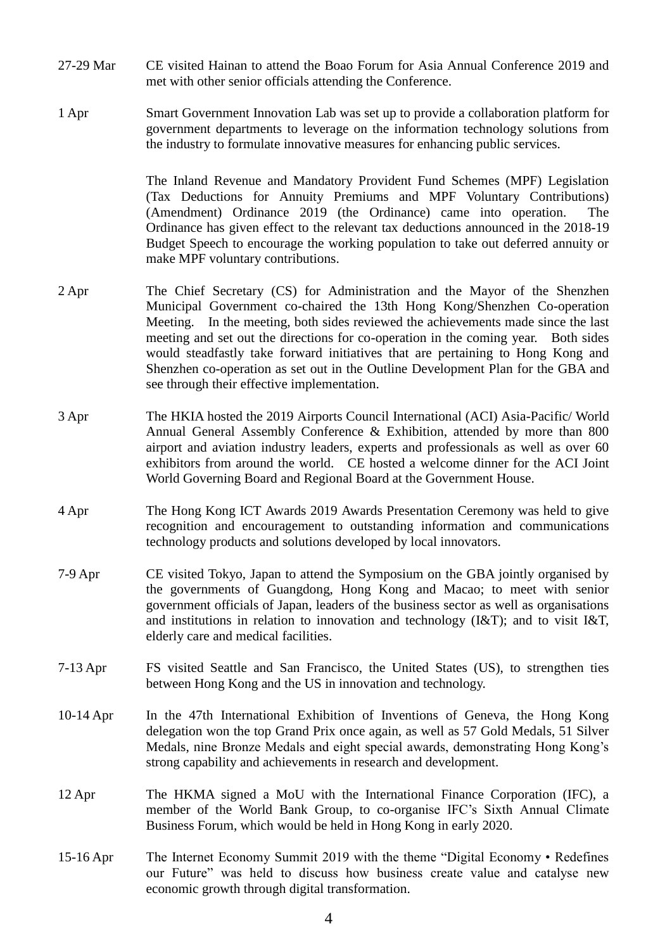- 27-29 Mar CE visited Hainan to attend the Boao Forum for Asia Annual Conference 2019 and met with other senior officials attending the Conference.
- 1 Apr Smart Government Innovation Lab was set up to provide a collaboration platform for government departments to leverage on the information technology solutions from the industry to formulate innovative measures for enhancing public services.

The Inland Revenue and Mandatory Provident Fund Schemes (MPF) Legislation (Tax Deductions for Annuity Premiums and MPF Voluntary Contributions) (Amendment) Ordinance 2019 (the Ordinance) came into operation. The Ordinance has given effect to the relevant tax deductions announced in the 2018-19 Budget Speech to encourage the working population to take out deferred annuity or make MPF voluntary contributions.

- 2 Apr The Chief Secretary (CS) for Administration and the Mayor of the Shenzhen Municipal Government co-chaired the 13th Hong Kong/Shenzhen Co-operation Meeting. In the meeting, both sides reviewed the achievements made since the last meeting and set out the directions for co-operation in the coming year. Both sides would steadfastly take forward initiatives that are pertaining to Hong Kong and Shenzhen co-operation as set out in the Outline Development Plan for the GBA and see through their effective implementation.
- 3 Apr The HKIA hosted the 2019 Airports Council International (ACI) Asia-Pacific/ World Annual General Assembly Conference & Exhibition, attended by more than 800 airport and aviation industry leaders, experts and professionals as well as over 60 exhibitors from around the world. CE hosted a welcome dinner for the ACI Joint World Governing Board and Regional Board at the Government House.
- 4 Apr The Hong Kong ICT Awards 2019 Awards Presentation Ceremony was held to give recognition and encouragement to outstanding information and communications technology products and solutions developed by local innovators.
- 7-9 Apr CE visited Tokyo, Japan to attend the Symposium on the GBA jointly organised by the governments of Guangdong, Hong Kong and Macao; to meet with senior government officials of Japan, leaders of the business sector as well as organisations and institutions in relation to innovation and technology  $(I\&T)$ ; and to visit I&T, elderly care and medical facilities.
- 7-13 Apr FS visited Seattle and San Francisco, the United States (US), to strengthen ties between Hong Kong and the US in innovation and technology.
- 10-14 Apr In the 47th International Exhibition of Inventions of Geneva, the Hong Kong delegation won the top Grand Prix once again, as well as 57 Gold Medals, 51 Silver Medals, nine Bronze Medals and eight special awards, demonstrating Hong Kong's strong capability and achievements in research and development.
- 12 Apr The HKMA signed a MoU with the International Finance Corporation (IFC), a member of the World Bank Group, to co-organise IFC's Sixth Annual Climate Business Forum, which would be held in Hong Kong in early 2020.
- 15-16 Apr The Internet Economy Summit 2019 with the theme "Digital Economy Redefines our Future" was held to discuss how business create value and catalyse new economic growth through digital transformation.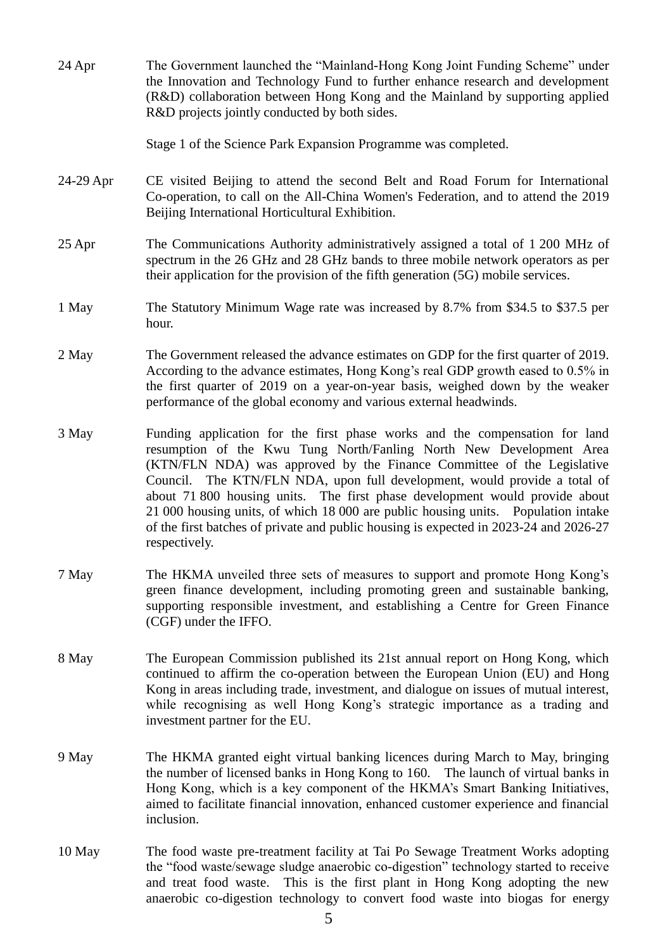| 24 Apr    | The Government launched the "Mainland-Hong Kong Joint Funding Scheme" under<br>the Innovation and Technology Fund to further enhance research and development<br>(R&D) collaboration between Hong Kong and the Mainland by supporting applied<br>R&D projects jointly conducted by both sides.                                                                                                                                                                                                                                                                                          |
|-----------|-----------------------------------------------------------------------------------------------------------------------------------------------------------------------------------------------------------------------------------------------------------------------------------------------------------------------------------------------------------------------------------------------------------------------------------------------------------------------------------------------------------------------------------------------------------------------------------------|
|           | Stage 1 of the Science Park Expansion Programme was completed.                                                                                                                                                                                                                                                                                                                                                                                                                                                                                                                          |
| 24-29 Apr | CE visited Beijing to attend the second Belt and Road Forum for International<br>Co-operation, to call on the All-China Women's Federation, and to attend the 2019<br>Beijing International Horticultural Exhibition.                                                                                                                                                                                                                                                                                                                                                                   |
| 25 Apr    | The Communications Authority administratively assigned a total of 1 200 MHz of<br>spectrum in the 26 GHz and 28 GHz bands to three mobile network operators as per<br>their application for the provision of the fifth generation (5G) mobile services.                                                                                                                                                                                                                                                                                                                                 |
| 1 May     | The Statutory Minimum Wage rate was increased by 8.7% from \$34.5 to \$37.5 per<br>hour.                                                                                                                                                                                                                                                                                                                                                                                                                                                                                                |
| 2 May     | The Government released the advance estimates on GDP for the first quarter of 2019.<br>According to the advance estimates, Hong Kong's real GDP growth eased to 0.5% in<br>the first quarter of 2019 on a year-on-year basis, weighed down by the weaker<br>performance of the global economy and various external headwinds.                                                                                                                                                                                                                                                           |
| 3 May     | Funding application for the first phase works and the compensation for land<br>resumption of the Kwu Tung North/Fanling North New Development Area<br>(KTN/FLN NDA) was approved by the Finance Committee of the Legislative<br>Council. The KTN/FLN NDA, upon full development, would provide a total of<br>about 71 800 housing units. The first phase development would provide about<br>21 000 housing units, of which 18 000 are public housing units. Population intake<br>of the first batches of private and public housing is expected in 2023-24 and 2026-27<br>respectively. |
| 7 May     | The HKMA unveiled three sets of measures to support and promote Hong Kong's<br>green finance development, including promoting green and sustainable banking,<br>supporting responsible investment, and establishing a Centre for Green Finance<br>(CGF) under the IFFO.                                                                                                                                                                                                                                                                                                                 |
| 8 May     | The European Commission published its 21st annual report on Hong Kong, which<br>continued to affirm the co-operation between the European Union (EU) and Hong<br>Kong in areas including trade, investment, and dialogue on issues of mutual interest,<br>while recognising as well Hong Kong's strategic importance as a trading and<br>investment partner for the EU.                                                                                                                                                                                                                 |
| 9 May     | The HKMA granted eight virtual banking licences during March to May, bringing<br>the number of licensed banks in Hong Kong to 160. The launch of virtual banks in<br>Hong Kong, which is a key component of the HKMA's Smart Banking Initiatives,<br>aimed to facilitate financial innovation, enhanced customer experience and financial<br>inclusion.                                                                                                                                                                                                                                 |
| 10 May    | The food waste pre-treatment facility at Tai Po Sewage Treatment Works adopting<br>the "food waste/sewage sludge anaerobic co-digestion" technology started to receive<br>and treat food waste. This is the first plant in Hong Kong adopting the new<br>anaerobic co-digestion technology to convert food waste into biogas for energy                                                                                                                                                                                                                                                 |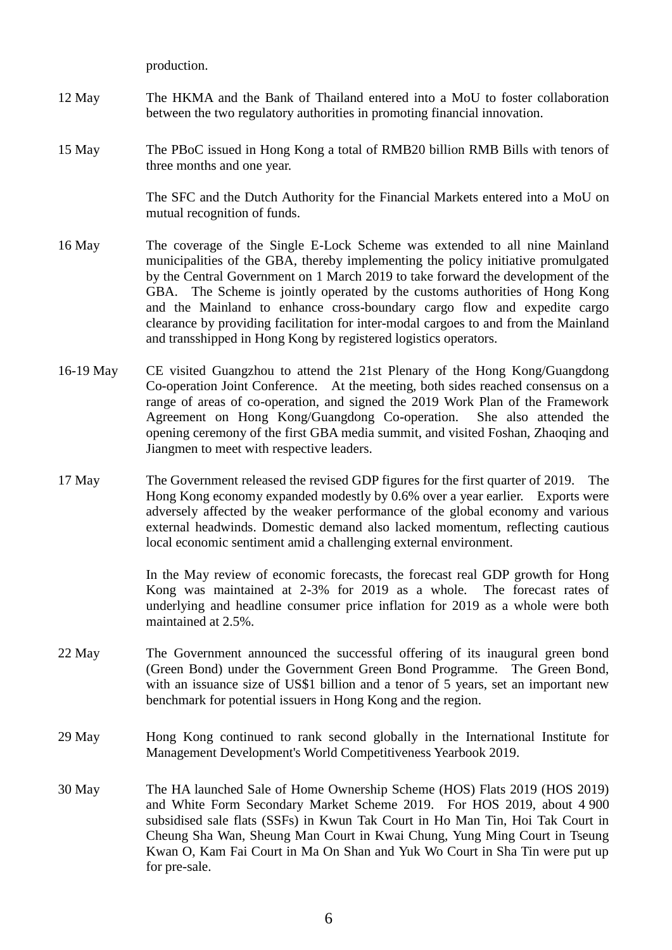production.

- 12 May The HKMA and the Bank of Thailand entered into a MoU to foster collaboration between the two regulatory authorities in promoting financial innovation.
- 15 May The PBoC issued in Hong Kong a total of RMB20 billion RMB Bills with tenors of three months and one year.

The SFC and the Dutch Authority for the Financial Markets entered into a MoU on mutual recognition of funds.

- 16 May The coverage of the Single E-Lock Scheme was extended to all nine Mainland municipalities of the GBA, thereby implementing the policy initiative promulgated by the Central Government on 1 March 2019 to take forward the development of the GBA. The Scheme is jointly operated by the customs authorities of Hong Kong and the Mainland to enhance cross-boundary cargo flow and expedite cargo clearance by providing facilitation for inter-modal cargoes to and from the Mainland and transshipped in Hong Kong by registered logistics operators.
- 16-19 May CE visited Guangzhou to attend the 21st Plenary of the Hong Kong/Guangdong Co-operation Joint Conference. At the meeting, both sides reached consensus on a range of areas of co-operation, and signed the 2019 Work Plan of the Framework Agreement on Hong Kong/Guangdong Co-operation. She also attended the opening ceremony of the first GBA media summit, and visited Foshan, Zhaoqing and Jiangmen to meet with respective leaders.
- 17 May The Government released the revised GDP figures for the first quarter of 2019. The Hong Kong economy expanded modestly by 0.6% over a year earlier. Exports were adversely affected by the weaker performance of the global economy and various external headwinds. Domestic demand also lacked momentum, reflecting cautious local economic sentiment amid a challenging external environment.

In the May review of economic forecasts, the forecast real GDP growth for Hong Kong was maintained at 2-3% for 2019 as a whole. The forecast rates of underlying and headline consumer price inflation for 2019 as a whole were both maintained at 2.5%.

- 22 May The Government announced the successful offering of its inaugural green bond (Green Bond) under the Government Green Bond Programme. The Green Bond, with an issuance size of US\$1 billion and a tenor of 5 years, set an important new benchmark for potential issuers in Hong Kong and the region.
- 29 May Hong Kong continued to rank second globally in the International Institute for Management Development's World Competitiveness Yearbook 2019.
- 30 May The HA launched Sale of Home Ownership Scheme (HOS) Flats 2019 (HOS 2019) and White Form Secondary Market Scheme 2019. For HOS 2019, about 4 900 subsidised sale flats (SSFs) in Kwun Tak Court in Ho Man Tin, Hoi Tak Court in Cheung Sha Wan, Sheung Man Court in Kwai Chung, Yung Ming Court in Tseung Kwan O, Kam Fai Court in Ma On Shan and Yuk Wo Court in Sha Tin were put up for pre-sale.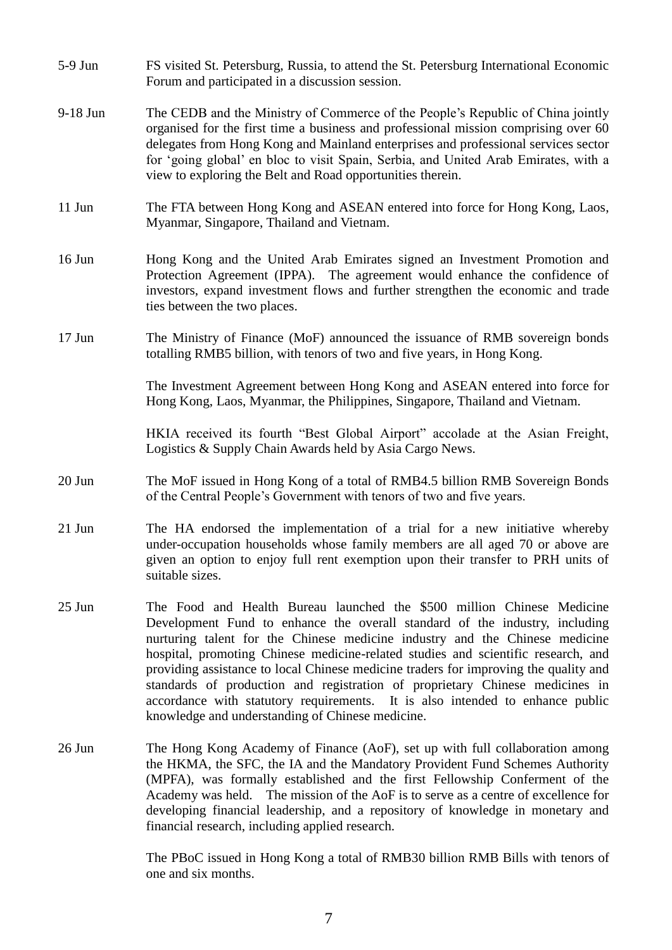- 5-9 Jun FS visited St. Petersburg, Russia, to attend the St. Petersburg International Economic Forum and participated in a discussion session.
- 9-18 Jun The CEDB and the Ministry of Commerce of the People's Republic of China jointly organised for the first time a business and professional mission comprising over 60 delegates from Hong Kong and Mainland enterprises and professional services sector for 'going global' en bloc to visit Spain, Serbia, and United Arab Emirates, with a view to exploring the Belt and Road opportunities therein.
- 11 Jun The FTA between Hong Kong and ASEAN entered into force for Hong Kong, Laos, Myanmar, Singapore, Thailand and Vietnam.
- 16 Jun Hong Kong and the United Arab Emirates signed an Investment Promotion and Protection Agreement (IPPA). The agreement would enhance the confidence of investors, expand investment flows and further strengthen the economic and trade ties between the two places.
- 17 Jun The Ministry of Finance (MoF) announced the issuance of RMB sovereign bonds totalling RMB5 billion, with tenors of two and five years, in Hong Kong.

The Investment Agreement between Hong Kong and ASEAN entered into force for Hong Kong, Laos, Myanmar, the Philippines, Singapore, Thailand and Vietnam.

HKIA received its fourth "Best Global Airport" accolade at the Asian Freight, Logistics & Supply Chain Awards held by Asia Cargo News.

- 20 Jun The MoF issued in Hong Kong of a total of RMB4.5 billion RMB Sovereign Bonds of the Central People's Government with tenors of two and five years.
- 21 Jun The HA endorsed the implementation of a trial for a new initiative whereby under-occupation households whose family members are all aged 70 or above are given an option to enjoy full rent exemption upon their transfer to PRH units of suitable sizes.
- 25 Jun The Food and Health Bureau launched the \$500 million Chinese Medicine Development Fund to enhance the overall standard of the industry, including nurturing talent for the Chinese medicine industry and the Chinese medicine hospital, promoting Chinese medicine-related studies and scientific research, and providing assistance to local Chinese medicine traders for improving the quality and standards of production and registration of proprietary Chinese medicines in accordance with statutory requirements. It is also intended to enhance public knowledge and understanding of Chinese medicine.
- 26 Jun The Hong Kong Academy of Finance (AoF), set up with full collaboration among the HKMA, the SFC, the IA and the Mandatory Provident Fund Schemes Authority (MPFA), was formally established and the first Fellowship Conferment of the Academy was held. The mission of the AoF is to serve as a centre of excellence for developing financial leadership, and a repository of knowledge in monetary and financial research, including applied research.

The PBoC issued in Hong Kong a total of RMB30 billion RMB Bills with tenors of one and six months.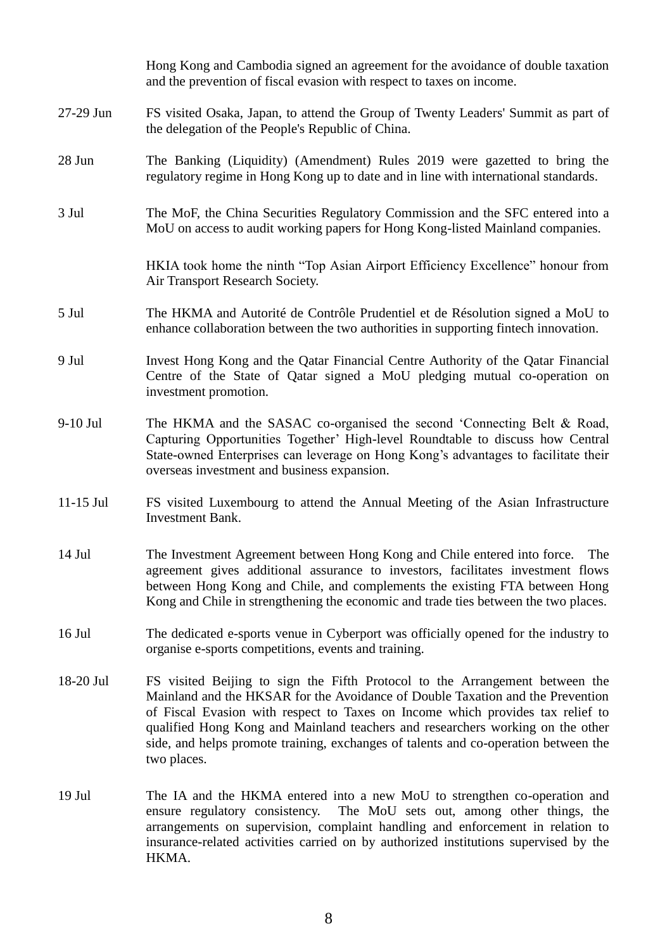|             | Hong Kong and Cambodia signed an agreement for the avoidance of double taxation<br>and the prevention of fiscal evasion with respect to taxes on income.                                                                                                                                                                                                                                                                                 |
|-------------|------------------------------------------------------------------------------------------------------------------------------------------------------------------------------------------------------------------------------------------------------------------------------------------------------------------------------------------------------------------------------------------------------------------------------------------|
| 27-29 Jun   | FS visited Osaka, Japan, to attend the Group of Twenty Leaders' Summit as part of<br>the delegation of the People's Republic of China.                                                                                                                                                                                                                                                                                                   |
| 28 Jun      | The Banking (Liquidity) (Amendment) Rules 2019 were gazetted to bring the<br>regulatory regime in Hong Kong up to date and in line with international standards.                                                                                                                                                                                                                                                                         |
| 3 Jul       | The MoF, the China Securities Regulatory Commission and the SFC entered into a<br>MoU on access to audit working papers for Hong Kong-listed Mainland companies.                                                                                                                                                                                                                                                                         |
|             | HKIA took home the ninth "Top Asian Airport Efficiency Excellence" honour from<br>Air Transport Research Society.                                                                                                                                                                                                                                                                                                                        |
| 5 Jul       | The HKMA and Autorité de Contrôle Prudentiel et de Résolution signed a MoU to<br>enhance collaboration between the two authorities in supporting fintech innovation.                                                                                                                                                                                                                                                                     |
| 9 Jul       | Invest Hong Kong and the Qatar Financial Centre Authority of the Qatar Financial<br>Centre of the State of Qatar signed a MoU pledging mutual co-operation on<br>investment promotion.                                                                                                                                                                                                                                                   |
| 9-10 Jul    | The HKMA and the SASAC co-organised the second 'Connecting Belt & Road,<br>Capturing Opportunities Together' High-level Roundtable to discuss how Central<br>State-owned Enterprises can leverage on Hong Kong's advantages to facilitate their<br>overseas investment and business expansion.                                                                                                                                           |
| $11-15$ Jul | FS visited Luxembourg to attend the Annual Meeting of the Asian Infrastructure<br>Investment Bank.                                                                                                                                                                                                                                                                                                                                       |
| $14$ Jul    | The Investment Agreement between Hong Kong and Chile entered into force.<br>The<br>agreement gives additional assurance to investors, facilitates investment flows<br>between Hong Kong and Chile, and complements the existing FTA between Hong<br>Kong and Chile in strengthening the economic and trade ties between the two places.                                                                                                  |
| $16$ Jul    | The dedicated e-sports venue in Cyberport was officially opened for the industry to<br>organise e-sports competitions, events and training.                                                                                                                                                                                                                                                                                              |
| 18-20 Jul   | FS visited Beijing to sign the Fifth Protocol to the Arrangement between the<br>Mainland and the HKSAR for the Avoidance of Double Taxation and the Prevention<br>of Fiscal Evasion with respect to Taxes on Income which provides tax relief to<br>qualified Hong Kong and Mainland teachers and researchers working on the other<br>side, and helps promote training, exchanges of talents and co-operation between the<br>two places. |
| $19$ Jul    | The IA and the HKMA entered into a new MoU to strengthen co-operation and<br>The MoU sets out, among other things, the<br>ensure regulatory consistency.<br>arrangements on supervision, complaint handling and enforcement in relation to<br>insurance-related activities carried on by authorized institutions supervised by the<br>HKMA.                                                                                              |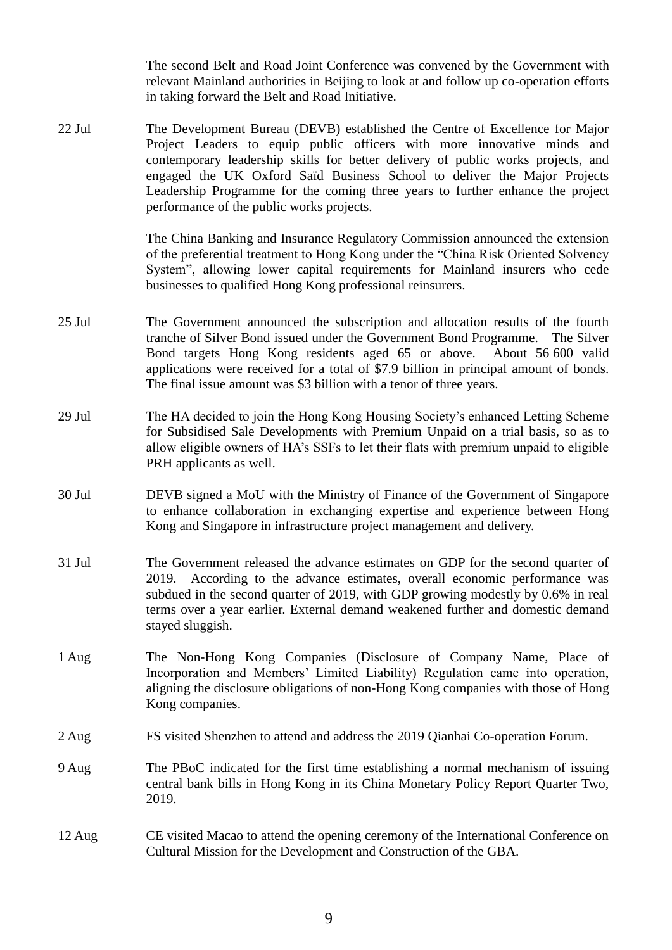The second Belt and Road Joint Conference was convened by the Government with relevant Mainland authorities in Beijing to look at and follow up co-operation efforts in taking forward the Belt and Road Initiative.

22 Jul The Development Bureau (DEVB) established the Centre of Excellence for Major Project Leaders to equip public officers with more innovative minds and contemporary leadership skills for better delivery of public works projects, and engaged the UK Oxford Saïd Business School to deliver the Major Projects Leadership Programme for the coming three years to further enhance the project performance of the public works projects.

> The China Banking and Insurance Regulatory Commission announced the extension of the preferential treatment to Hong Kong under the "China Risk Oriented Solvency System", allowing lower capital requirements for Mainland insurers who cede businesses to qualified Hong Kong professional reinsurers.

- 25 Jul The Government announced the subscription and allocation results of the fourth tranche of Silver Bond issued under the Government Bond Programme. The Silver Bond targets Hong Kong residents aged 65 or above. About 56 600 valid applications were received for a total of \$7.9 billion in principal amount of bonds. The final issue amount was \$3 billion with a tenor of three years.
- 29 Jul The HA decided to join the Hong Kong Housing Society's enhanced Letting Scheme for Subsidised Sale Developments with Premium Unpaid on a trial basis, so as to allow eligible owners of HA's SSFs to let their flats with premium unpaid to eligible PRH applicants as well.
- 30 Jul DEVB signed a MoU with the Ministry of Finance of the Government of Singapore to enhance collaboration in exchanging expertise and experience between Hong Kong and Singapore in infrastructure project management and delivery.
- 31 Jul The Government released the advance estimates on GDP for the second quarter of 2019. According to the advance estimates, overall economic performance was subdued in the second quarter of 2019, with GDP growing modestly by 0.6% in real terms over a year earlier. External demand weakened further and domestic demand stayed sluggish.
- 1 Aug The Non-Hong Kong Companies (Disclosure of Company Name, Place of Incorporation and Members' Limited Liability) Regulation came into operation, aligning the disclosure obligations of non-Hong Kong companies with those of Hong Kong companies.
- 2 Aug FS visited Shenzhen to attend and address the 2019 Qianhai Co-operation Forum.
- 9 Aug The PBoC indicated for the first time establishing a normal mechanism of issuing central bank bills in Hong Kong in its China Monetary Policy Report Quarter Two, 2019.
- 12 Aug CE visited Macao to attend the opening ceremony of the International Conference on Cultural Mission for the Development and Construction of the GBA.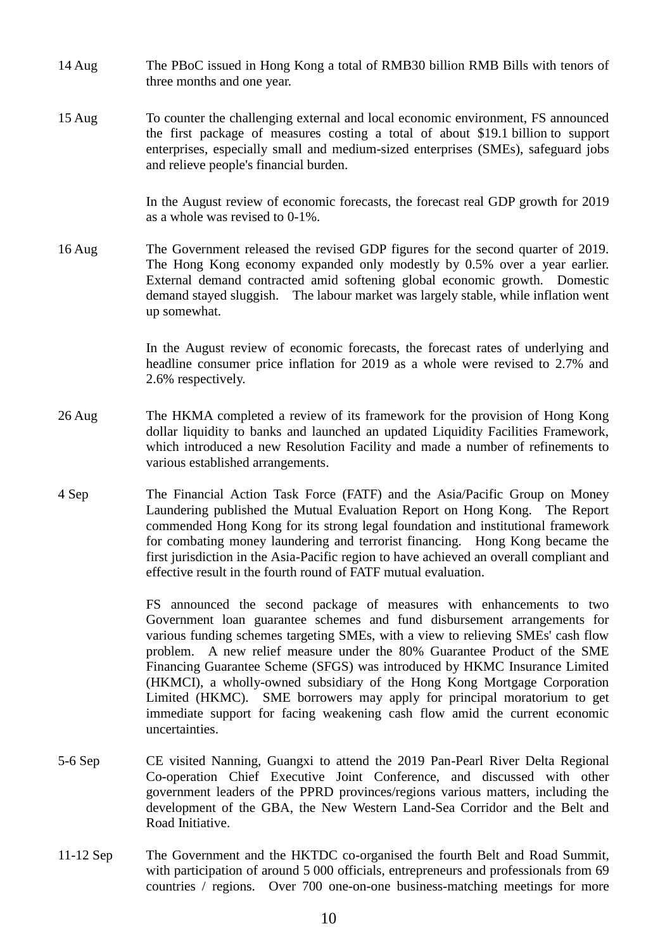- 14 Aug The PBoC issued in Hong Kong a total of RMB30 billion RMB Bills with tenors of three months and one year.
- 15 Aug To counter the challenging external and local economic environment, FS announced the first package of measures costing a total of about \$19.1 billion to support enterprises, especially small and medium-sized enterprises (SMEs), safeguard jobs and relieve people's financial burden.

In the August review of economic forecasts, the forecast real GDP growth for 2019 as a whole was revised to 0-1%.

16 Aug The Government released the revised GDP figures for the second quarter of 2019. The Hong Kong economy expanded only modestly by 0.5% over a year earlier. External demand contracted amid softening global economic growth. Domestic demand stayed sluggish. The labour market was largely stable, while inflation went up somewhat.

> In the August review of economic forecasts, the forecast rates of underlying and headline consumer price inflation for 2019 as a whole were revised to 2.7% and 2.6% respectively.

- 26 Aug The HKMA completed a review of its framework for the provision of Hong Kong dollar liquidity to banks and launched an updated Liquidity Facilities Framework, which introduced a new Resolution Facility and made a number of refinements to various established arrangements.
- 4 Sep The Financial Action Task Force (FATF) and the Asia/Pacific Group on Money Laundering published the Mutual Evaluation Report on Hong Kong. The Report commended Hong Kong for its strong legal foundation and institutional framework for combating money laundering and terrorist financing. Hong Kong became the first jurisdiction in the Asia-Pacific region to have achieved an overall compliant and effective result in the fourth round of FATF mutual evaluation.

FS announced the second package of measures with enhancements to two Government loan guarantee schemes and fund disbursement arrangements for various funding schemes targeting SMEs, with a view to relieving SMEs' cash flow problem. A new relief measure under the 80% Guarantee Product of the SME Financing Guarantee Scheme (SFGS) was introduced by HKMC Insurance Limited (HKMCI), a wholly-owned subsidiary of the Hong Kong Mortgage Corporation Limited (HKMC). SME borrowers may apply for principal moratorium to get immediate support for facing weakening cash flow amid the current economic uncertainties.

- 5-6 Sep CE visited Nanning, Guangxi to attend the 2019 Pan-Pearl River Delta Regional Co-operation Chief Executive Joint Conference, and discussed with other government leaders of the PPRD provinces/regions various matters, including the development of the GBA, the New Western Land-Sea Corridor and the Belt and Road Initiative.
- 11-12 Sep The Government and the HKTDC co-organised the fourth Belt and Road Summit, with participation of around 5 000 officials, entrepreneurs and professionals from 69 countries / regions. Over 700 one-on-one business-matching meetings for more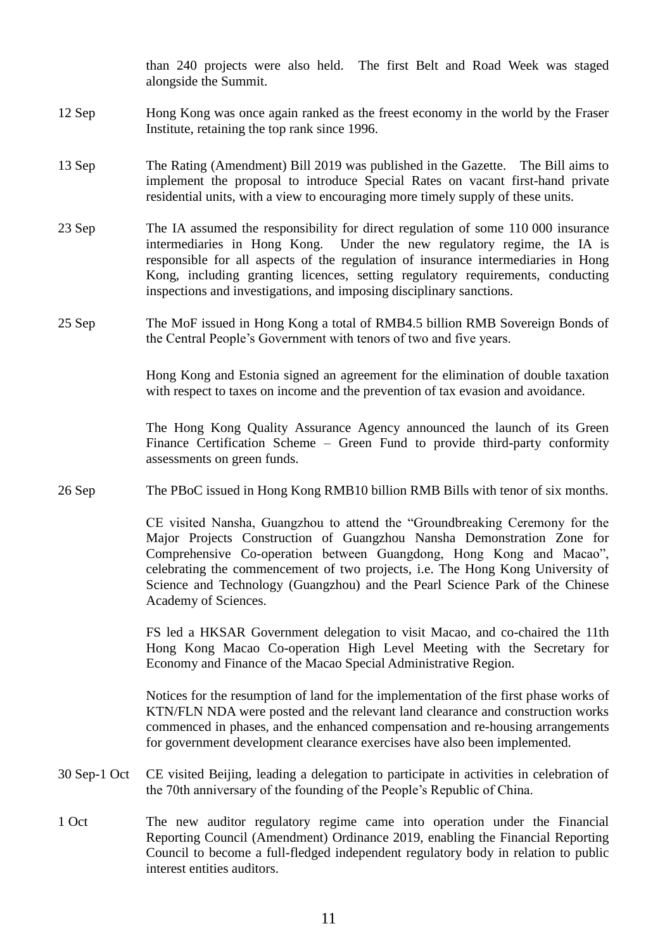than 240 projects were also held. The first Belt and Road Week was staged alongside the Summit.

- 12 Sep Hong Kong was once again ranked as the freest economy in the world by the Fraser Institute, retaining the top rank since 1996.
- 13 Sep The Rating (Amendment) Bill 2019 was published in the Gazette. The Bill aims to implement the proposal to introduce Special Rates on vacant first-hand private residential units, with a view to encouraging more timely supply of these units.
- 23 Sep The IA assumed the responsibility for direct regulation of some 110 000 insurance intermediaries in Hong Kong. Under the new regulatory regime, the IA is responsible for all aspects of the regulation of insurance intermediaries in Hong Kong, including granting licences, setting regulatory requirements, conducting inspections and investigations, and imposing disciplinary sanctions.
- 25 Sep The MoF issued in Hong Kong a total of RMB4.5 billion RMB Sovereign Bonds of the Central People's Government with tenors of two and five years.

Hong Kong and Estonia signed an agreement for the elimination of double taxation with respect to taxes on income and the prevention of tax evasion and avoidance.

The Hong Kong Quality Assurance Agency announced the launch of its Green Finance Certification Scheme – Green Fund to provide third-party conformity assessments on green funds.

26 Sep The PBoC issued in Hong Kong RMB10 billion RMB Bills with tenor of six months.

CE visited Nansha, Guangzhou to attend the "Groundbreaking Ceremony for the Major Projects Construction of Guangzhou Nansha Demonstration Zone for Comprehensive Co-operation between Guangdong, Hong Kong and Macao", celebrating the commencement of two projects, i.e. The Hong Kong University of Science and Technology (Guangzhou) and the Pearl Science Park of the Chinese Academy of Sciences.

FS led a HKSAR Government delegation to visit Macao, and co-chaired the 11th Hong Kong Macao Co-operation High Level Meeting with the Secretary for Economy and Finance of the Macao Special Administrative Region.

Notices for the resumption of land for the implementation of the first phase works of KTN/FLN NDA were posted and the relevant land clearance and construction works commenced in phases, and the enhanced compensation and re-housing arrangements for government development clearance exercises have also been implemented.

- 30 Sep-1 Oct CE visited Beijing, leading a delegation to participate in activities in celebration of the 70th anniversary of the founding of the People's Republic of China.
- 1 Oct The new auditor regulatory regime came into operation under the Financial Reporting Council (Amendment) Ordinance 2019, enabling the Financial Reporting Council to become a full-fledged independent regulatory body in relation to public interest entities auditors.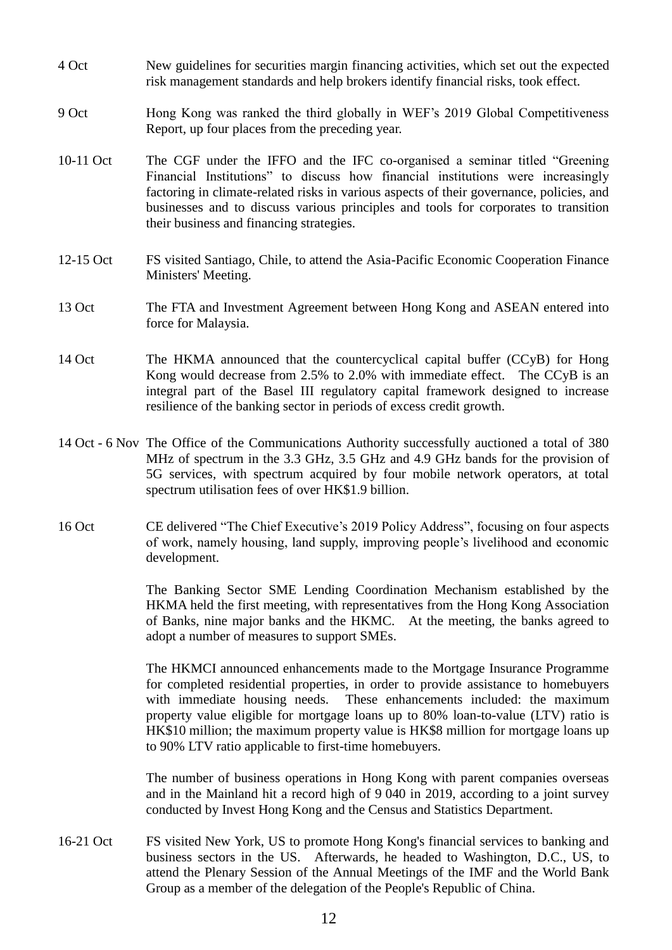- 4 Oct New guidelines for securities margin financing activities, which set out the expected risk management standards and help brokers identify financial risks, took effect.
- 9 Oct Hong Kong was ranked the third globally in WEF's 2019 Global Competitiveness Report, up four places from the preceding year.
- 10-11 Oct The CGF under the IFFO and the IFC co-organised a seminar titled "Greening Financial Institutions" to discuss how financial institutions were increasingly factoring in climate-related risks in various aspects of their governance, policies, and businesses and to discuss various principles and tools for corporates to transition their business and financing strategies.
- 12-15 Oct FS visited Santiago, Chile, to attend the Asia-Pacific Economic Cooperation Finance Ministers' Meeting.
- 13 Oct The FTA and Investment Agreement between Hong Kong and ASEAN entered into force for Malaysia.
- 14 Oct The HKMA announced that the countercyclical capital buffer (CCyB) for Hong Kong would decrease from 2.5% to 2.0% with immediate effect. The CCyB is an integral part of the Basel III regulatory capital framework designed to increase resilience of the banking sector in periods of excess credit growth.
- 14 Oct 6 Nov The Office of the Communications Authority successfully auctioned a total of 380 MHz of spectrum in the 3.3 GHz, 3.5 GHz and 4.9 GHz bands for the provision of 5G services, with spectrum acquired by four mobile network operators, at total spectrum utilisation fees of over HK\$1.9 billion.
- 16 Oct CE delivered "The Chief Executive's 2019 Policy Address", focusing on four aspects of work, namely housing, land supply, improving people's livelihood and economic development.

The Banking Sector SME Lending Coordination Mechanism established by the HKMA held the first meeting, with representatives from the Hong Kong Association of Banks, nine major banks and the HKMC. At the meeting, the banks agreed to adopt a number of measures to support SMEs.

The HKMCI announced enhancements made to the Mortgage Insurance Programme for completed residential properties, in order to provide assistance to homebuyers with immediate housing needs. These enhancements included: the maximum property value eligible for mortgage loans up to 80% loan-to-value (LTV) ratio is HK\$10 million; the maximum property value is HK\$8 million for mortgage loans up to 90% LTV ratio applicable to first-time homebuyers.

The number of business operations in Hong Kong with parent companies overseas and in the Mainland hit a record high of 9 040 in 2019, according to a joint survey conducted by Invest Hong Kong and the Census and Statistics Department.

16-21 Oct FS visited New York, US to promote Hong Kong's financial services to banking and business sectors in the US. Afterwards, he headed to Washington, D.C., US, to attend the Plenary Session of the Annual Meetings of the IMF and the World Bank Group as a member of the delegation of the People's Republic of China.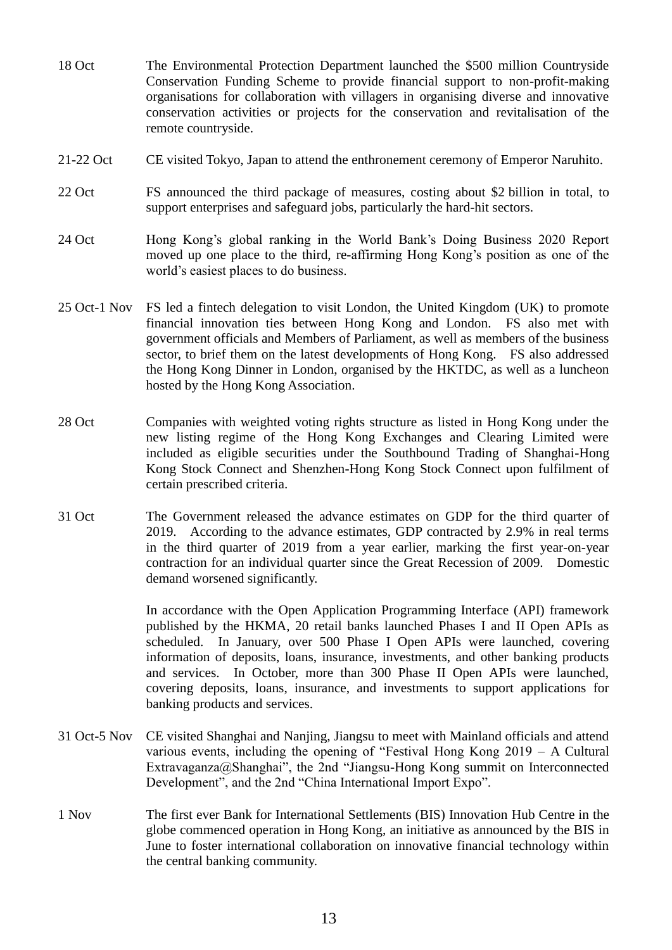- 18 Oct The Environmental Protection Department launched the \$500 million Countryside Conservation Funding Scheme to provide financial support to non-profit-making organisations for collaboration with villagers in organising diverse and innovative conservation activities or projects for the conservation and revitalisation of the remote countryside.
- 21-22 Oct CE visited Tokyo, Japan to attend the enthronement ceremony of Emperor Naruhito.
- 22 Oct FS announced the third package of measures, costing about \$2 billion in total, to support enterprises and safeguard jobs, particularly the hard-hit sectors.
- 24 Oct Hong Kong's global ranking in the World Bank's Doing Business 2020 Report moved up one place to the third, re-affirming Hong Kong's position as one of the world's easiest places to do business.
- 25 Oct-1 Nov FS led a fintech delegation to visit London, the United Kingdom (UK) to promote financial innovation ties between Hong Kong and London. FS also met with government officials and Members of Parliament, as well as members of the business sector, to brief them on the latest developments of Hong Kong. FS also addressed the Hong Kong Dinner in London, organised by the HKTDC, as well as a luncheon hosted by the Hong Kong Association.
- 28 Oct Companies with weighted voting rights structure as listed in Hong Kong under the new listing regime of the Hong Kong Exchanges and Clearing Limited were included as eligible securities under the Southbound Trading of Shanghai-Hong Kong Stock Connect and Shenzhen-Hong Kong Stock Connect upon fulfilment of certain prescribed criteria.
- 31 Oct The Government released the advance estimates on GDP for the third quarter of 2019. According to the advance estimates, GDP contracted by 2.9% in real terms in the third quarter of 2019 from a year earlier, marking the first year-on-year contraction for an individual quarter since the Great Recession of 2009. Domestic demand worsened significantly.

In accordance with the Open Application Programming Interface (API) framework published by the HKMA, 20 retail banks launched Phases I and II Open APIs as scheduled. In January, over 500 Phase I Open APIs were launched, covering information of deposits, loans, insurance, investments, and other banking products and services. In October, more than 300 Phase II Open APIs were launched, covering deposits, loans, insurance, and investments to support applications for banking products and services.

- 31 Oct-5 Nov CE visited Shanghai and Nanjing, Jiangsu to meet with Mainland officials and attend various events, including the opening of "Festival Hong Kong 2019 – A Cultural Extravaganza@Shanghai", the 2nd "Jiangsu-Hong Kong summit on Interconnected Development", and the 2nd "China International Import Expo".
- 1 Nov The first ever Bank for International Settlements (BIS) Innovation Hub Centre in the globe commenced operation in Hong Kong, an initiative as announced by the BIS in June to foster international collaboration on innovative financial technology within the central banking community.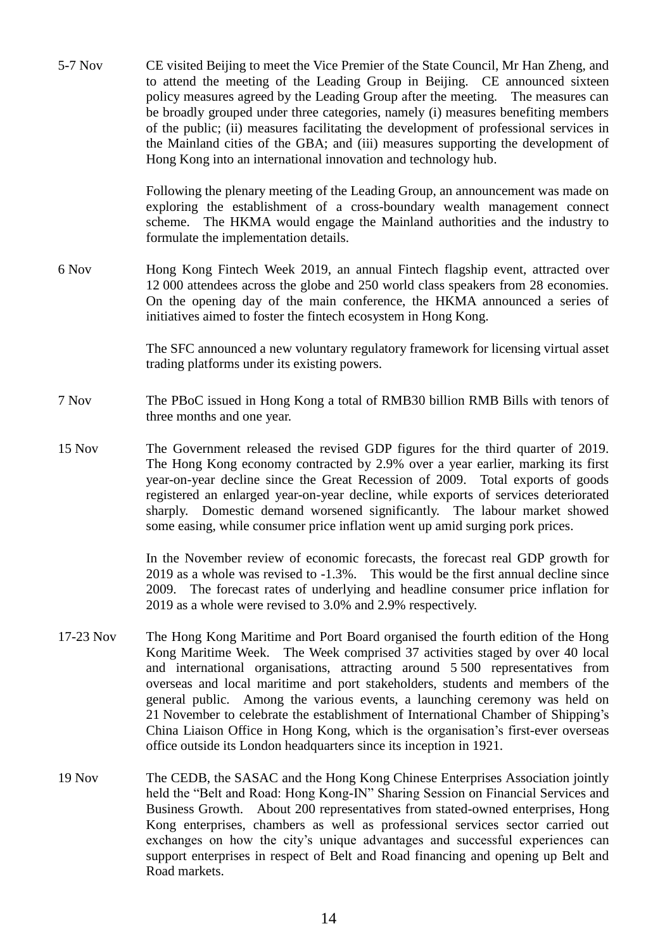5-7 Nov CE visited Beijing to meet the Vice Premier of the State Council, Mr Han Zheng, and to attend the meeting of the Leading Group in Beijing. CE announced sixteen policy measures agreed by the Leading Group after the meeting. The measures can be broadly grouped under three categories, namely (i) measures benefiting members of the public; (ii) measures facilitating the development of professional services in the Mainland cities of the GBA; and (iii) measures supporting the development of Hong Kong into an international innovation and technology hub.

> Following the plenary meeting of the Leading Group, an announcement was made on exploring the establishment of a cross-boundary wealth management connect scheme. The HKMA would engage the Mainland authorities and the industry to formulate the implementation details.

6 Nov Hong Kong Fintech Week 2019, an annual Fintech flagship event, attracted over 12 000 attendees across the globe and 250 world class speakers from 28 economies. On the opening day of the main conference, the HKMA announced a series of initiatives aimed to foster the fintech ecosystem in Hong Kong.

> The SFC announced a new voluntary regulatory framework for licensing virtual asset trading platforms under its existing powers.

- 7 Nov The PBoC issued in Hong Kong a total of RMB30 billion RMB Bills with tenors of three months and one year.
- 15 Nov The Government released the revised GDP figures for the third quarter of 2019. The Hong Kong economy contracted by 2.9% over a year earlier, marking its first year-on-year decline since the Great Recession of 2009. Total exports of goods registered an enlarged year-on-year decline, while exports of services deteriorated sharply. Domestic demand worsened significantly. The labour market showed some easing, while consumer price inflation went up amid surging pork prices.

In the November review of economic forecasts, the forecast real GDP growth for 2019 as a whole was revised to -1.3%. This would be the first annual decline since 2009. The forecast rates of underlying and headline consumer price inflation for 2019 as a whole were revised to 3.0% and 2.9% respectively.

- 17-23 Nov The Hong Kong Maritime and Port Board organised the fourth edition of the Hong Kong Maritime Week. The Week comprised 37 activities staged by over 40 local and international organisations, attracting around 5 500 representatives from overseas and local maritime and port stakeholders, students and members of the general public. Among the various events, a launching ceremony was held on 21 November to celebrate the establishment of International Chamber of Shipping's China Liaison Office in Hong Kong, which is the organisation's first-ever overseas office outside its London headquarters since its inception in 1921.
- 19 Nov The CEDB, the SASAC and the Hong Kong Chinese Enterprises Association jointly held the "Belt and Road: Hong Kong-IN" Sharing Session on Financial Services and Business Growth. About 200 representatives from stated-owned enterprises, Hong Kong enterprises, chambers as well as professional services sector carried out exchanges on how the city's unique advantages and successful experiences can support enterprises in respect of Belt and Road financing and opening up Belt and Road markets.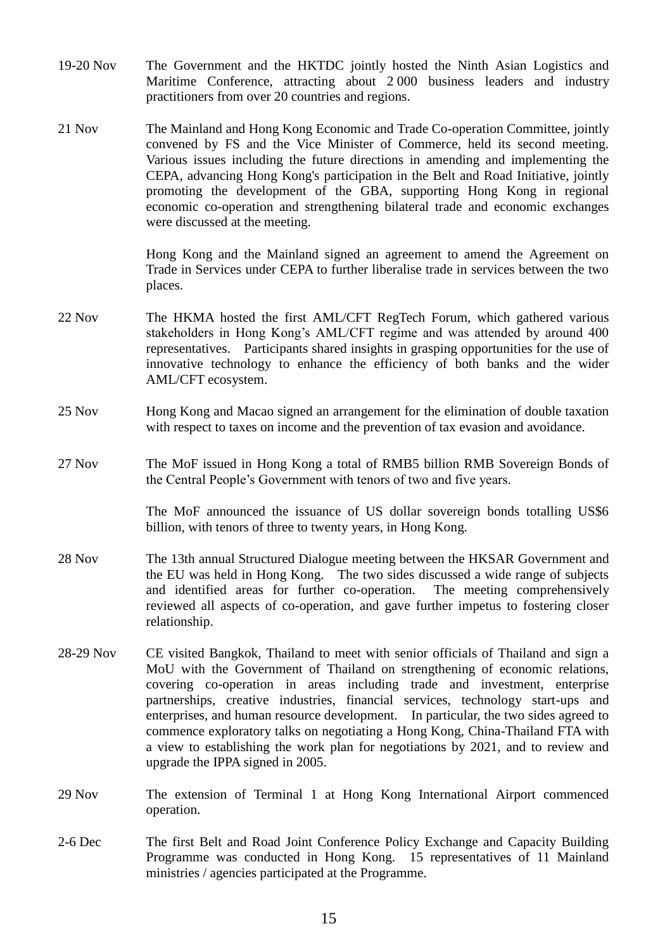- 19-20 Nov The Government and the HKTDC jointly hosted the Ninth Asian Logistics and Maritime Conference, attracting about 2 000 business leaders and industry practitioners from over 20 countries and regions.
- 21 Nov The Mainland and Hong Kong Economic and Trade Co-operation Committee, jointly convened by FS and the Vice Minister of Commerce, held its second meeting. Various issues including the future directions in amending and implementing the CEPA, advancing Hong Kong's participation in the Belt and Road Initiative, jointly promoting the development of the GBA, supporting Hong Kong in regional economic co-operation and strengthening bilateral trade and economic exchanges were discussed at the meeting.

Hong Kong and the Mainland signed an agreement to amend the Agreement on Trade in Services under CEPA to further liberalise trade in services between the two places.

- 22 Nov The HKMA hosted the first AML/CFT RegTech Forum, which gathered various stakeholders in Hong Kong's AML/CFT regime and was attended by around 400 representatives. Participants shared insights in grasping opportunities for the use of innovative technology to enhance the efficiency of both banks and the wider AML/CFT ecosystem.
- 25 Nov Hong Kong and Macao signed an arrangement for the elimination of double taxation with respect to taxes on income and the prevention of tax evasion and avoidance.
- 27 Nov The MoF issued in Hong Kong a total of RMB5 billion RMB Sovereign Bonds of the Central People's Government with tenors of two and five years.

The MoF announced the issuance of US dollar sovereign bonds totalling US\$6 billion, with tenors of three to twenty years, in Hong Kong.

- 28 Nov The 13th annual Structured Dialogue meeting between the HKSAR Government and the EU was held in Hong Kong. The two sides discussed a wide range of subjects and identified areas for further co-operation. The meeting comprehensively reviewed all aspects of co-operation, and gave further impetus to fostering closer relationship.
- 28-29 Nov CE visited Bangkok, Thailand to meet with senior officials of Thailand and sign a MoU with the Government of Thailand on strengthening of economic relations, covering co-operation in areas including trade and investment, enterprise partnerships, creative industries, financial services, technology start-ups and enterprises, and human resource development. In particular, the two sides agreed to commence exploratory talks on negotiating a Hong Kong, China-Thailand FTA with a view to establishing the work plan for negotiations by 2021, and to review and upgrade the IPPA signed in 2005.
- 29 Nov The extension of Terminal 1 at Hong Kong International Airport commenced operation.
- 2-6 Dec The first Belt and Road Joint Conference Policy Exchange and Capacity Building Programme was conducted in Hong Kong. 15 representatives of 11 Mainland ministries / agencies participated at the Programme.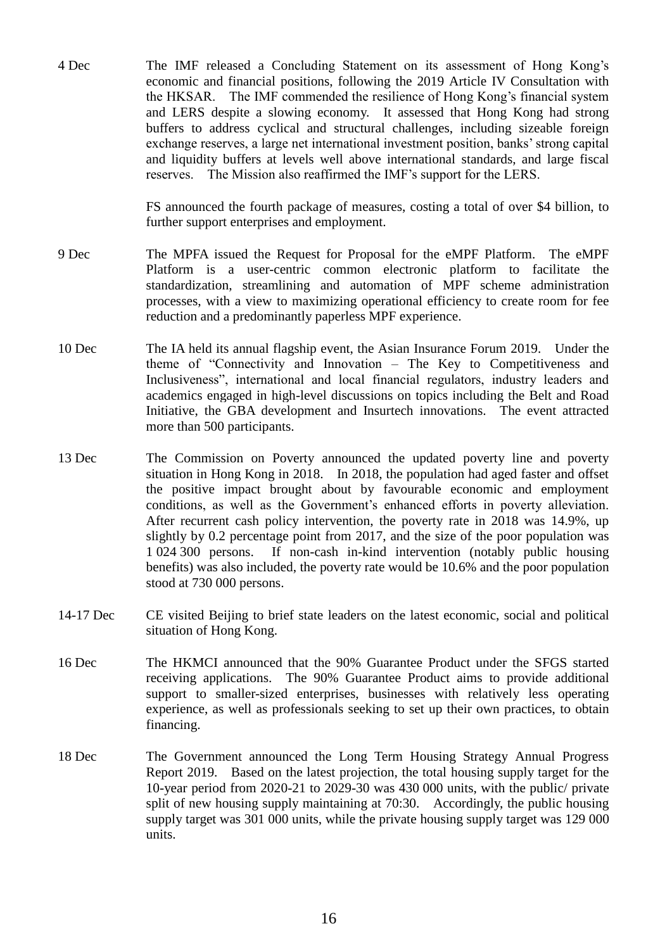4 Dec The IMF released a Concluding Statement on its assessment of Hong Kong's economic and financial positions, following the 2019 Article IV Consultation with the HKSAR. The IMF commended the resilience of Hong Kong's financial system and LERS despite a slowing economy. It assessed that Hong Kong had strong buffers to address cyclical and structural challenges, including sizeable foreign exchange reserves, a large net international investment position, banks' strong capital and liquidity buffers at levels well above international standards, and large fiscal reserves. The Mission also reaffirmed the IMF's support for the LERS.

> FS announced the fourth package of measures, costing a total of over \$4 billion, to further support enterprises and employment.

- 9 Dec The MPFA issued the Request for Proposal for the eMPF Platform. The eMPF Platform is a user-centric common electronic platform to facilitate the standardization, streamlining and automation of MPF scheme administration processes, with a view to maximizing operational efficiency to create room for fee reduction and a predominantly paperless MPF experience.
- 10 Dec The IA held its annual flagship event, the Asian Insurance Forum 2019. Under the theme of "Connectivity and Innovation – The Key to Competitiveness and Inclusiveness", international and local financial regulators, industry leaders and academics engaged in high-level discussions on topics including the Belt and Road Initiative, the GBA development and Insurtech innovations. The event attracted more than 500 participants.
- 13 Dec The Commission on Poverty announced the updated poverty line and poverty situation in Hong Kong in 2018. In 2018, the population had aged faster and offset the positive impact brought about by favourable economic and employment conditions, as well as the Government's enhanced efforts in poverty alleviation. After recurrent cash policy intervention, the poverty rate in 2018 was 14.9%, up slightly by 0.2 percentage point from 2017, and the size of the poor population was 1 024 300 persons. If non-cash in-kind intervention (notably public housing benefits) was also included, the poverty rate would be 10.6% and the poor population stood at 730 000 persons.
- 14-17 Dec CE visited Beijing to brief state leaders on the latest economic, social and political situation of Hong Kong.
- 16 Dec The HKMCI announced that the 90% Guarantee Product under the SFGS started receiving applications. The 90% Guarantee Product aims to provide additional support to smaller-sized enterprises, businesses with relatively less operating experience, as well as professionals seeking to set up their own practices, to obtain financing.
- 18 Dec The Government announced the Long Term Housing Strategy Annual Progress Report 2019. Based on the latest projection, the total housing supply target for the 10-year period from 2020-21 to 2029-30 was 430 000 units, with the public/ private split of new housing supply maintaining at 70:30. Accordingly, the public housing supply target was 301 000 units, while the private housing supply target was 129 000 units.